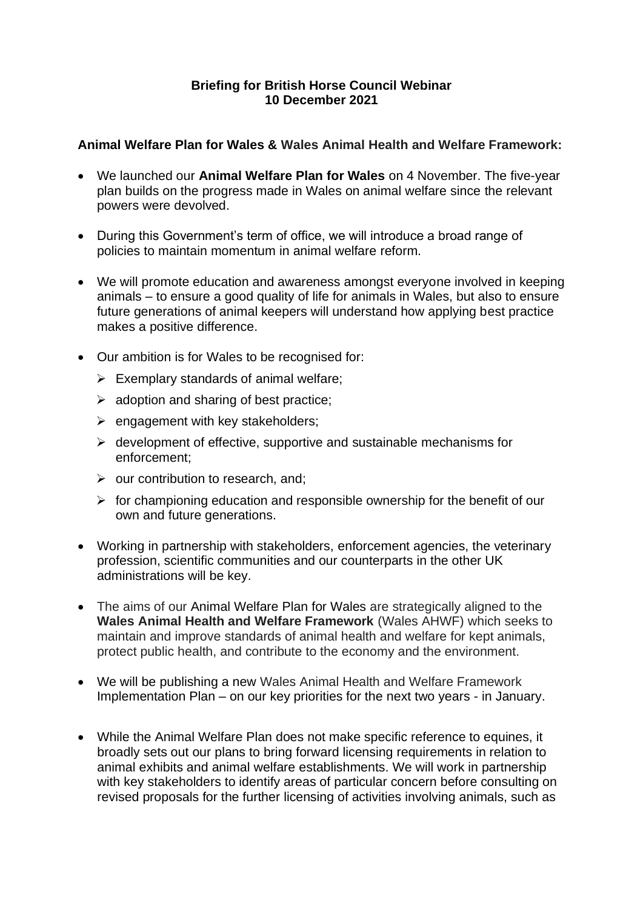## **Briefing for British Horse Council Webinar 10 December 2021**

## **Animal Welfare Plan for Wales & Wales Animal Health and Welfare Framework:**

- We launched our **Animal Welfare Plan for Wales** on 4 November. The five-year plan builds on the progress made in Wales on animal welfare since the relevant powers were devolved.
- During this Government's term of office, we will introduce a broad range of policies to maintain momentum in animal welfare reform.
- We will promote education and awareness amongst everyone involved in keeping animals – to ensure a good quality of life for animals in Wales, but also to ensure future generations of animal keepers will understand how applying best practice makes a positive difference.
- Our ambition is for Wales to be recognised for:
	- $\triangleright$  Exemplary standards of animal welfare;
	- $\triangleright$  adoption and sharing of best practice;
	- $\triangleright$  engagement with key stakeholders;
	- $\triangleright$  development of effective, supportive and sustainable mechanisms for enforcement;
	- $\triangleright$  our contribution to research, and;
	- $\triangleright$  for championing education and responsible ownership for the benefit of our own and future generations.
- Working in partnership with stakeholders, enforcement agencies, the veterinary profession, scientific communities and our counterparts in the other UK administrations will be key.
- The aims of our Animal Welfare Plan for Wales are strategically aligned to the **Wales Animal Health and Welfare Framework** (Wales AHWF) which seeks to maintain and improve standards of animal health and welfare for kept animals, protect public health, and contribute to the economy and the environment.
- We will be publishing a new Wales Animal Health and Welfare Framework Implementation Plan – on our key priorities for the next two years - in January.
- While the Animal Welfare Plan does not make specific reference to equines, it broadly sets out our plans to bring forward licensing requirements in relation to animal exhibits and animal welfare establishments. We will work in partnership with key stakeholders to identify areas of particular concern before consulting on revised proposals for the further licensing of activities involving animals, such as